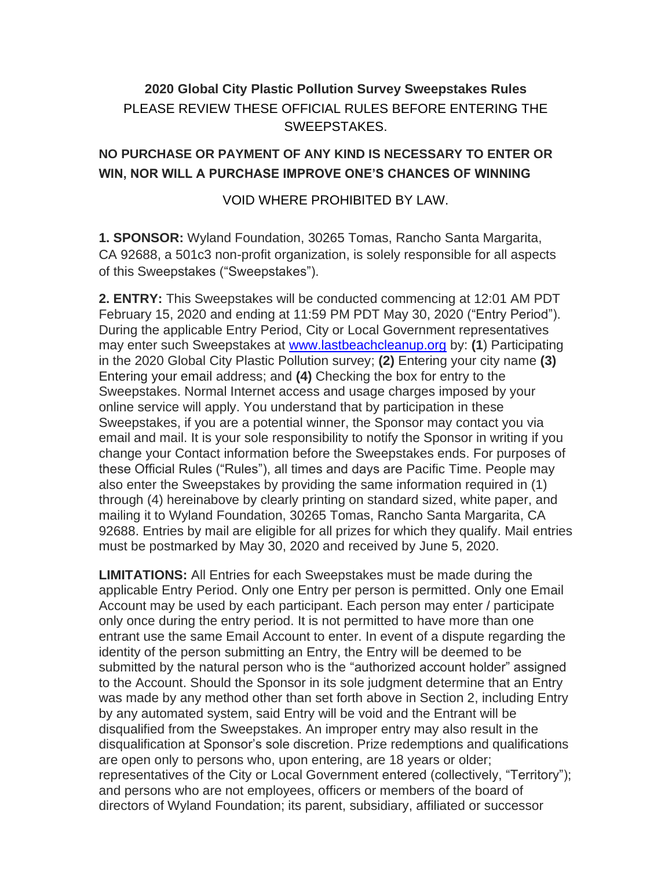## **2020 Global City Plastic Pollution Survey Sweepstakes Rules** PLEASE REVIEW THESE OFFICIAL RULES BEFORE ENTERING THE SWEEPSTAKES.

## **NO PURCHASE OR PAYMENT OF ANY KIND IS NECESSARY TO ENTER OR WIN, NOR WILL A PURCHASE IMPROVE ONE'S CHANCES OF WINNING**

## VOID WHERE PROHIBITED BY LAW.

**1. SPONSOR:** Wyland Foundation, 30265 Tomas, Rancho Santa Margarita, CA 92688, a 501c3 non-profit organization, is solely responsible for all aspects of this Sweepstakes ("Sweepstakes").

**2. ENTRY:** This Sweepstakes will be conducted commencing at 12:01 AM PDT February 15, 2020 and ending at 11:59 PM PDT May 30, 2020 ("Entry Period"). During the applicable Entry Period, City or Local Government representatives may enter such Sweepstakes at www.lastbeachcleanup.org by: **(1**) Participating in the 2020 Global City Plastic Pollution survey; **(2)** Entering your city name **(3)** Entering your email address; and **(4)** Checking the box for entry to the Sweepstakes. Normal Internet access and usage charges imposed by your online service will apply. You understand that by participation in these Sweepstakes, if you are a potential winner, the Sponsor may contact you via email and mail. It is your sole responsibility to notify the Sponsor in writing if you change your Contact information before the Sweepstakes ends. For purposes of these Official Rules ("Rules"), all times and days are Pacific Time. People may also enter the Sweepstakes by providing the same information required in (1) through (4) hereinabove by clearly printing on standard sized, white paper, and mailing it to Wyland Foundation, 30265 Tomas, Rancho Santa Margarita, CA 92688. Entries by mail are eligible for all prizes for which they qualify. Mail entries must be postmarked by May 30, 2020 and received by June 5, 2020.

**LIMITATIONS:** All Entries for each Sweepstakes must be made during the applicable Entry Period. Only one Entry per person is permitted. Only one Email Account may be used by each participant. Each person may enter / participate only once during the entry period. It is not permitted to have more than one entrant use the same Email Account to enter. In event of a dispute regarding the identity of the person submitting an Entry, the Entry will be deemed to be submitted by the natural person who is the "authorized account holder" assigned to the Account. Should the Sponsor in its sole judgment determine that an Entry was made by any method other than set forth above in Section 2, including Entry by any automated system, said Entry will be void and the Entrant will be disqualified from the Sweepstakes. An improper entry may also result in the disqualification at Sponsor's sole discretion. Prize redemptions and qualifications are open only to persons who, upon entering, are 18 years or older; representatives of the City or Local Government entered (collectively, "Territory"); and persons who are not employees, officers or members of the board of directors of Wyland Foundation; its parent, subsidiary, affiliated or successor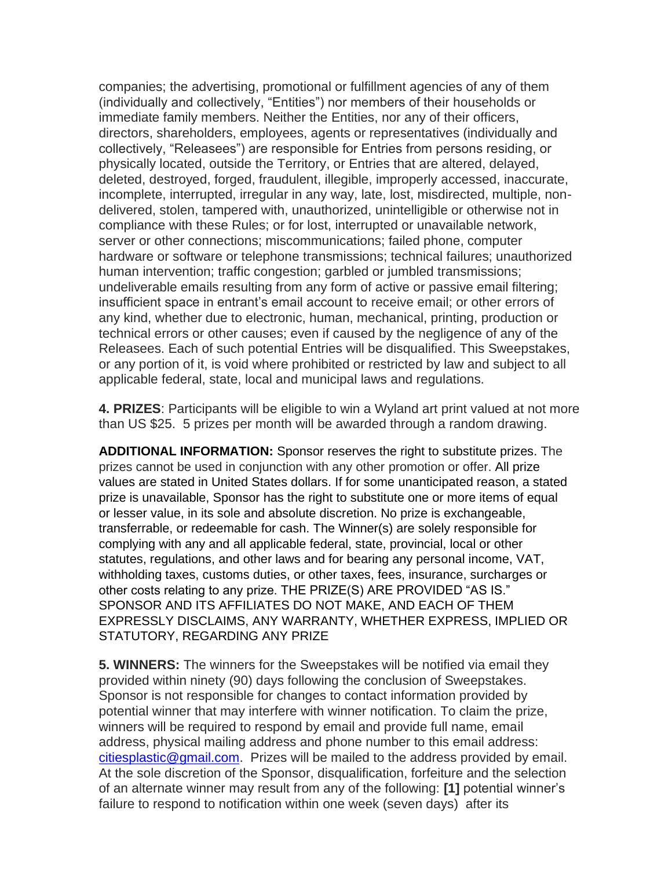companies; the advertising, promotional or fulfillment agencies of any of them (individually and collectively, "Entities") nor members of their households or immediate family members. Neither the Entities, nor any of their officers, directors, shareholders, employees, agents or representatives (individually and collectively, "Releasees") are responsible for Entries from persons residing, or physically located, outside the Territory, or Entries that are altered, delayed, deleted, destroyed, forged, fraudulent, illegible, improperly accessed, inaccurate, incomplete, interrupted, irregular in any way, late, lost, misdirected, multiple, nondelivered, stolen, tampered with, unauthorized, unintelligible or otherwise not in compliance with these Rules; or for lost, interrupted or unavailable network, server or other connections; miscommunications; failed phone, computer hardware or software or telephone transmissions; technical failures; unauthorized human intervention; traffic congestion; garbled or jumbled transmissions; undeliverable emails resulting from any form of active or passive email filtering; insufficient space in entrant's email account to receive email; or other errors of any kind, whether due to electronic, human, mechanical, printing, production or technical errors or other causes; even if caused by the negligence of any of the Releasees. Each of such potential Entries will be disqualified. This Sweepstakes, or any portion of it, is void where prohibited or restricted by law and subject to all applicable federal, state, local and municipal laws and regulations.

**4. PRIZES**: Participants will be eligible to win a Wyland art print valued at not more than US \$25. 5 prizes per month will be awarded through a random drawing.

**ADDITIONAL INFORMATION:** Sponsor reserves the right to substitute prizes. The prizes cannot be used in conjunction with any other promotion or offer. All prize values are stated in United States dollars. If for some unanticipated reason, a stated prize is unavailable, Sponsor has the right to substitute one or more items of equal or lesser value, in its sole and absolute discretion. No prize is exchangeable, transferrable, or redeemable for cash. The Winner(s) are solely responsible for complying with any and all applicable federal, state, provincial, local or other statutes, regulations, and other laws and for bearing any personal income, VAT, withholding taxes, customs duties, or other taxes, fees, insurance, surcharges or other costs relating to any prize. THE PRIZE(S) ARE PROVIDED "AS IS." SPONSOR AND ITS AFFILIATES DO NOT MAKE, AND EACH OF THEM EXPRESSLY DISCLAIMS, ANY WARRANTY, WHETHER EXPRESS, IMPLIED OR STATUTORY, REGARDING ANY PRIZE

**5. WINNERS:** The winners for the Sweepstakes will be notified via email they provided within ninety (90) days following the conclusion of Sweepstakes. Sponsor is not responsible for changes to contact information provided by potential winner that may interfere with winner notification. To claim the prize, winners will be required to respond by email and provide full name, email address, physical mailing address and phone number to this email address: citiesplastic@gmail.com. Prizes will be mailed to the address provided by email. At the sole discretion of the Sponsor, disqualification, forfeiture and the selection of an alternate winner may result from any of the following: **[1]** potential winner's failure to respond to notification within one week (seven days) after its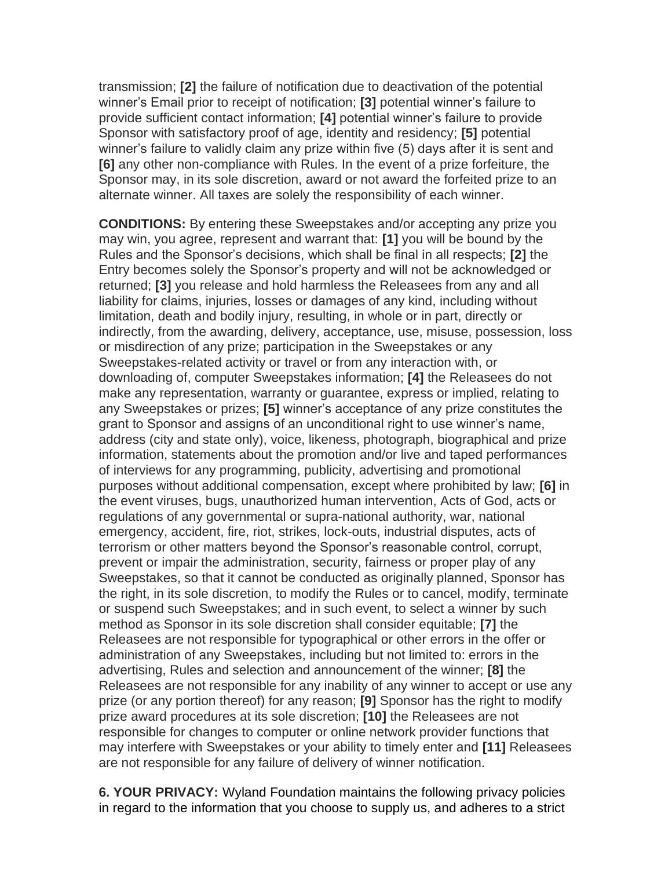transmission; **[2]** the failure of notification due to deactivation of the potential winner's Email prior to receipt of notification; **[3]** potential winner's failure to provide sufficient contact information; **[4]** potential winner's failure to provide Sponsor with satisfactory proof of age, identity and residency; **[5]** potential winner's failure to validly claim any prize within five (5) days after it is sent and **[6]** any other non-compliance with Rules. In the event of a prize forfeiture, the Sponsor may, in its sole discretion, award or not award the forfeited prize to an alternate winner. All taxes are solely the responsibility of each winner.

**CONDITIONS:** By entering these Sweepstakes and/or accepting any prize you may win, you agree, represent and warrant that: **[1]** you will be bound by the Rules and the Sponsor's decisions, which shall be final in all respects; **[2]** the Entry becomes solely the Sponsor's property and will not be acknowledged or returned; **[3]** you release and hold harmless the Releasees from any and all liability for claims, injuries, losses or damages of any kind, including without limitation, death and bodily injury, resulting, in whole or in part, directly or indirectly, from the awarding, delivery, acceptance, use, misuse, possession, loss or misdirection of any prize; participation in the Sweepstakes or any Sweepstakes-related activity or travel or from any interaction with, or downloading of, computer Sweepstakes information; **[4]** the Releasees do not make any representation, warranty or guarantee, express or implied, relating to any Sweepstakes or prizes; **[5]** winner's acceptance of any prize constitutes the grant to Sponsor and assigns of an unconditional right to use winner's name, address (city and state only), voice, likeness, photograph, biographical and prize information, statements about the promotion and/or live and taped performances of interviews for any programming, publicity, advertising and promotional purposes without additional compensation, except where prohibited by law; **[6]** in the event viruses, bugs, unauthorized human intervention, Acts of God, acts or regulations of any governmental or supra-national authority, war, national emergency, accident, fire, riot, strikes, lock-outs, industrial disputes, acts of terrorism or other matters beyond the Sponsor's reasonable control, corrupt, prevent or impair the administration, security, fairness or proper play of any Sweepstakes, so that it cannot be conducted as originally planned, Sponsor has the right, in its sole discretion, to modify the Rules or to cancel, modify, terminate or suspend such Sweepstakes; and in such event, to select a winner by such method as Sponsor in its sole discretion shall consider equitable; **[7]** the Releasees are not responsible for typographical or other errors in the offer or administration of any Sweepstakes, including but not limited to: errors in the advertising, Rules and selection and announcement of the winner; **[8]** the Releasees are not responsible for any inability of any winner to accept or use any prize (or any portion thereof) for any reason; **[9]** Sponsor has the right to modify prize award procedures at its sole discretion; **[10]** the Releasees are not responsible for changes to computer or online network provider functions that may interfere with Sweepstakes or your ability to timely enter and **[11]** Releasees are not responsible for any failure of delivery of winner notification.

**6. YOUR PRIVACY:** Wyland Foundation maintains the following privacy policies in regard to the information that you choose to supply us, and adheres to a strict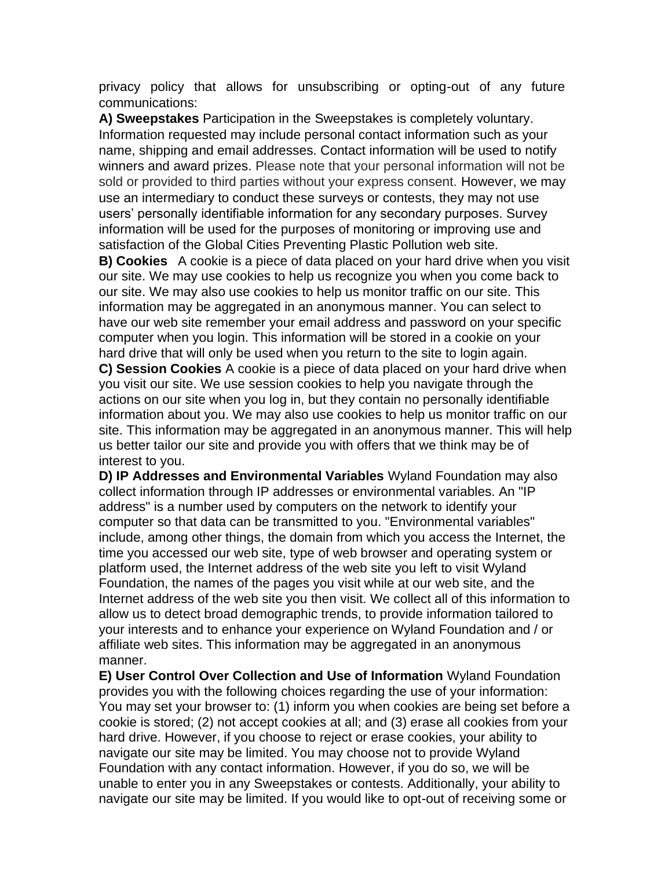privacy policy that allows for unsubscribing or opting-out of any future communications:

**A) Sweepstakes** Participation in the Sweepstakes is completely voluntary. Information requested may include personal contact information such as your name, shipping and email addresses. Contact information will be used to notify winners and award prizes. Please note that your personal information will not be sold or provided to third parties without your express consent. However, we may use an intermediary to conduct these surveys or contests, they may not use users' personally identifiable information for any secondary purposes. Survey information will be used for the purposes of monitoring or improving use and satisfaction of the Global Cities Preventing Plastic Pollution web site.

**B) Cookies** A cookie is a piece of data placed on your hard drive when you visit our site. We may use cookies to help us recognize you when you come back to our site. We may also use cookies to help us monitor traffic on our site. This information may be aggregated in an anonymous manner. You can select to have our web site remember your email address and password on your specific computer when you login. This information will be stored in a cookie on your hard drive that will only be used when you return to the site to login again.

**C) Session Cookies** A cookie is a piece of data placed on your hard drive when you visit our site. We use session cookies to help you navigate through the actions on our site when you log in, but they contain no personally identifiable information about you. We may also use cookies to help us monitor traffic on our site. This information may be aggregated in an anonymous manner. This will help us better tailor our site and provide you with offers that we think may be of interest to you.

**D) IP Addresses and Environmental Variables** Wyland Foundation may also collect information through IP addresses or environmental variables. An "IP address" is a number used by computers on the network to identify your computer so that data can be transmitted to you. "Environmental variables" include, among other things, the domain from which you access the Internet, the time you accessed our web site, type of web browser and operating system or platform used, the Internet address of the web site you left to visit Wyland Foundation, the names of the pages you visit while at our web site, and the Internet address of the web site you then visit. We collect all of this information to allow us to detect broad demographic trends, to provide information tailored to your interests and to enhance your experience on Wyland Foundation and / or affiliate web sites. This information may be aggregated in an anonymous manner.

**E) User Control Over Collection and Use of Information** Wyland Foundation provides you with the following choices regarding the use of your information: You may set your browser to: (1) inform you when cookies are being set before a cookie is stored; (2) not accept cookies at all; and (3) erase all cookies from your hard drive. However, if you choose to reject or erase cookies, your ability to navigate our site may be limited. You may choose not to provide Wyland Foundation with any contact information. However, if you do so, we will be unable to enter you in any Sweepstakes or contests. Additionally, your ability to navigate our site may be limited. If you would like to opt-out of receiving some or